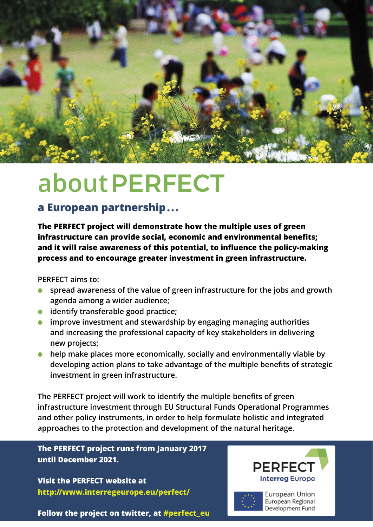

## **about**PERFECT

### **a European partnership...**

**The PERFECT project will demonstrate how the multiple uses of green infrastructure can provide social, economic and environmental benefits; and it will raise awareness of this potential, to influence the policy-making process and to encourage greater investment in green infrastructure.**

**PERFECT aims to:**

- **spread awareness of the value of green infrastructure for the jobs and growth agenda among a wider audience;**
- **identify transferable good practice;**
- **improve investment and stewardship by engaging managing authorities and increasing the professional capacity of key stakeholders in delivering new projects;**
- **help make places more economically, socially and environmentally viable by developing action plans to take advantage of the multiple benefits of strategic investment in green infrastructure.**

**The PERFECT project will work to identify the multiple benefits of green infrastructure investment through EU Structural Funds Operational Programmes and other policy instruments, in order to help formulate holistic and integrated approaches to the protection and development of the natural heritage.**

**The PERFECT project runs from January 2017 until December 2021.**

**Visit the PERFECT website at http://www.interregeurope.eu/perfect/**





European Union European Regional Development Fund

**Follow the project on twitter, at #perfect\_eu**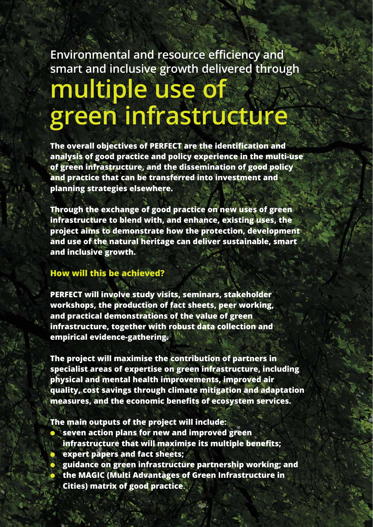**Environmental and resource efficiency and smart and inclusive growth delivered through**

# **multiple use of green infrastructure**

**The overall objectives of PERFECT are the identification and analysis of good practice and policy experience in the multi-use of green infrastructure, and the dissemination of good policy and practice that can be transferred into investment and planning strategies elsewhere.**

**Through the exchange of good practice on new uses of green infrastructure to blend with, and enhance, existing uses, the project aims to demonstrate how the protection, development and use of the natural heritage can deliver sustainable, smart and inclusive growth.**

### **How will this be achieved?**

**PERFECT will involve study visits, seminars, stakeholder workshops, the production of fact sheets, peer working, and practical demonstrations of the value of green infrastructure, together with robust data collection and empirical evidence-gathering.**

**The project will maximise the contribution of partners in specialist areas of expertise on green infrastructure, including physical and mental health improvements, improved air quality, cost savings through climate mitigation and adaptation measures, and the economic benefits of ecosystem services.**

**The main outputs of the project will include:**

- seven action plans for new and improved green **infrastructure that will maximise its multiple benefits;** expert papers and fact sheets:
- guidance on green infrastructure partnership working; and ● **the MAGIC (Multi Advantages of Green Infrastructure in Cities) matrix of good practice.**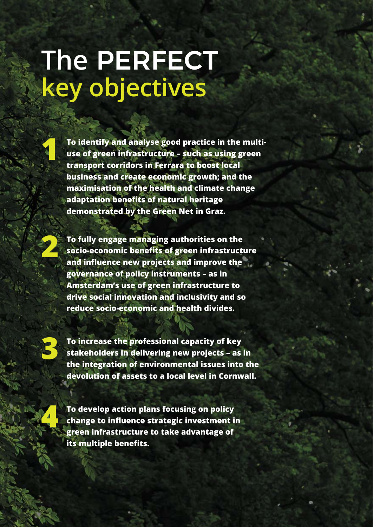# **The** PERFECT **key objectives**



**1 To identify and analyse good practice in the multiuse of green infrastructure – such as using green transport corridors in Ferrara to boost local business and create economic growth; and the maximisation of the health and climate change adaptation benefits of natural heritage demonstrated by the Green Net in Graz.**



**2 To fully engage managing authorities on the socio-economic benefits of green infrastructure and influence new projects and improve the governance of policy instruments – as in Amsterdam's use of green infrastructure to drive social innovation and inclusivity and so reduce socio-economic and health divides.**



**3 To increase the professional capacity of key stakeholders in delivering new projects – as in the integration of environmental issues into the devolution of assets to a local level in Cornwall.**

**10 To develop action plans focusing on policy<br><b>4** change to influence strategic investment in the advantage of **change to influence strategic investment in green infrastructure to take advantage of its multiple benefits.**